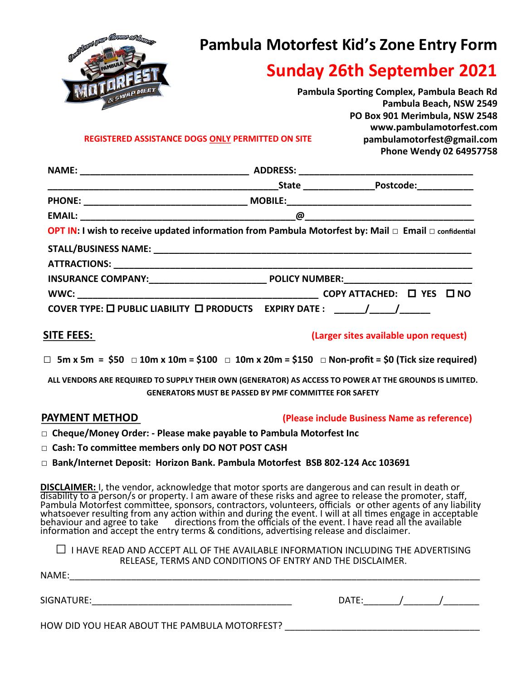

# **Pambula Motorfest Kid's Zone Entry Form**

# **Sunday 26th September 2021**

|       | Pambula Sporting Complex, Pambula Beach Rd |
|-------|--------------------------------------------|
|       | Pambula Beach, NSW 2549                    |
|       | PO Box 901 Merimbula, NSW 2548             |
|       | www.pambulamotorfest.com                   |
| SITE. | pambulamotorfest@gmail.com                 |
|       | Phone Wendy 02 64957758                    |

**REGISTERED ASSISTANCE DOGS ONLY PERMITTED ON SITE**

| <b>OPT IN:</b> I wish to receive updated information from Pambula Motorfest by: Mail $\Box$ Email $\Box$ confidential |  |  |  |
|-----------------------------------------------------------------------------------------------------------------------|--|--|--|
|                                                                                                                       |  |  |  |
|                                                                                                                       |  |  |  |
|                                                                                                                       |  |  |  |
|                                                                                                                       |  |  |  |
|                                                                                                                       |  |  |  |

## **SITE FEES: (Larger sites available upon request)**

□ **5m x 5m = \$50** □ **10m x 10m = \$100** □ **10m x 20m = \$150** □ **Non-profit = \$0 (Tick size required)**

**ALL VENDORS ARE REQUIRED TO SUPPLY THEIR OWN (GENERATOR) AS ACCESS TO POWER AT THE GROUNDS IS LIMITED. GENERATORS MUST BE PASSED BY PMF COMMITTEE FOR SAFETY**

## **PAYMENT METHOD (Please include Business Name as reference)**

- **□ Cheque/Money Order: - Please make payable to Pambula Motorfest Inc**
- **□ Cash: To committee members only DO NOT POST CASH**
- **□ Bank/Internet Deposit: Horizon Bank. Pambula Motorfest BSB 802-124 Acc 103691**

**DISCLAIMER:** I, the vendor, acknowledge that motor sports are dangerous and can result in death or disability to a person/s or property. I am aware of these risks and agree to release the promoter, staff, Pambula Motorfest committee, sponsors, contractors, volunteers, officials or other agents of any liability whatsoever resulting from any action within and during the event. I will at all times engage in acceptable behaviour and agree to take  $\dot{a}$  directions from the officials of the event. I have read all the available information and accept the entry terms & conditions, advertising release and disclaimer.

| $\Box$ I HAVE READ AND ACCEPT ALL OF THE AVAILABLE INFORMATION INCLUDING THE ADVERTISING |  |
|------------------------------------------------------------------------------------------|--|
| RELEASE, TERMS AND CONDITIONS OF ENTRY AND THE DISCLAIMER.                               |  |

| NAME:                                         |       |  |  |
|-----------------------------------------------|-------|--|--|
| SIGNATURE:                                    | DATE: |  |  |
| HOW DID YOU HEAR ABOUT THE PAMBULA MOTORFEST? |       |  |  |